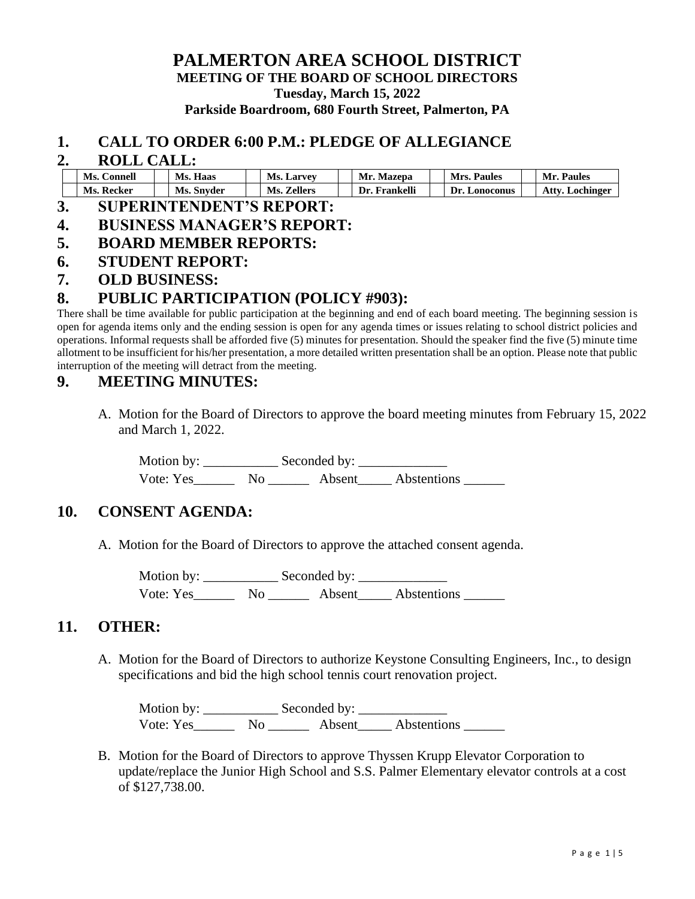### **PALMERTON AREA SCHOOL DISTRICT MEETING OF THE BOARD OF SCHOOL DIRECTORS Tuesday, March 15, 2022 Parkside Boardroom, 680 Fourth Street, Palmerton, PA**

#### **1. CALL TO ORDER 6:00 P.M.: PLEDGE OF ALLEGIANCE**

#### **2. ROLL CALL:**

| Ms.    | Ms.    | Ms.            | Мr        | <b>Paules</b>     | Мr               |
|--------|--------|----------------|-----------|-------------------|------------------|
| ∴onne⊔ | Haas   | . Larvev       | Mazepa    | Mrc               | Paules           |
| Ms.    | Ms.    | <b>Zellers</b> | Frankelli | <b>A</b> onoconus | Atty             |
| Kecker | Snyder | Ms.            | - I IF    | )r                | <b>Lochinger</b> |

- **3. SUPERINTENDENT'S REPORT:**
- **4. BUSINESS MANAGER'S REPORT:**
- **5. BOARD MEMBER REPORTS:**
- **6. STUDENT REPORT:**
- **7. OLD BUSINESS:**

### **8. PUBLIC PARTICIPATION (POLICY #903):**

There shall be time available for public participation at the beginning and end of each board meeting. The beginning session is open for agenda items only and the ending session is open for any agenda times or issues relating to school district policies and operations. Informal requests shall be afforded five (5) minutes for presentation. Should the speaker find the five (5) minute time allotment to be insufficient for his/her presentation, a more detailed written presentation shall be an option. Please note that public interruption of the meeting will detract from the meeting.

### **9. MEETING MINUTES:**

A. Motion for the Board of Directors to approve the board meeting minutes from February 15, 2022 and March 1, 2022.

Motion by: \_\_\_\_\_\_\_\_\_\_\_ Seconded by: \_\_\_\_\_\_\_\_\_\_\_\_\_ Vote: Yes\_\_\_\_\_\_\_\_ No \_\_\_\_\_\_\_\_ Abstentions \_\_\_\_\_\_\_\_

### **10. CONSENT AGENDA:**

A. Motion for the Board of Directors to approve the attached consent agenda.

Motion by: \_\_\_\_\_\_\_\_\_\_\_ Seconded by: \_\_\_\_\_\_\_\_\_\_\_\_\_ Vote: Yes No Absent Abstentions

### **11. OTHER:**

A. Motion for the Board of Directors to authorize Keystone Consulting Engineers, Inc., to design specifications and bid the high school tennis court renovation project.

Motion by: \_\_\_\_\_\_\_\_\_\_\_ Seconded by: \_\_\_\_\_\_\_\_\_\_\_\_\_ Vote: Yes\_\_\_\_\_\_\_\_ No \_\_\_\_\_\_\_\_ Absent\_\_\_\_\_\_ Abstentions \_\_\_\_\_\_\_

B. Motion for the Board of Directors to approve Thyssen Krupp Elevator Corporation to update/replace the Junior High School and S.S. Palmer Elementary elevator controls at a cost of \$127,738.00.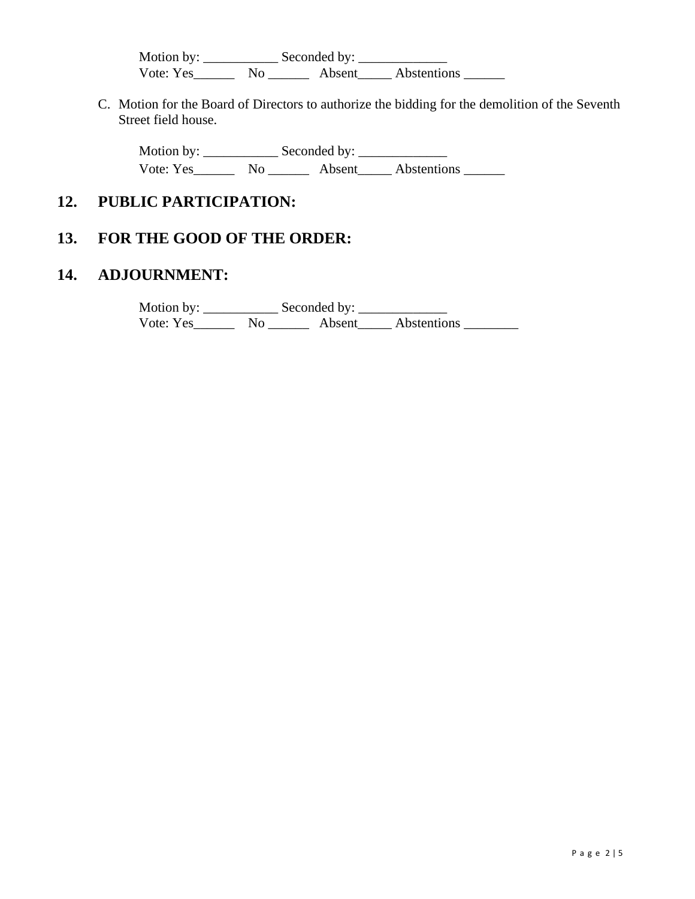Motion by: \_\_\_\_\_\_\_\_\_\_\_ Seconded by: \_\_\_\_\_\_\_\_\_\_\_\_\_ Vote: Yes\_\_\_\_\_\_\_\_ No \_\_\_\_\_\_\_\_ Absent\_\_\_\_\_\_ Abstentions \_\_\_\_\_\_\_

C. Motion for the Board of Directors to authorize the bidding for the demolition of the Seventh Street field house.

Motion by: \_\_\_\_\_\_\_\_\_\_\_ Seconded by: \_\_\_\_\_\_\_\_\_\_\_\_\_ Vote: Yes\_\_\_\_\_\_ No \_\_\_\_\_\_ Absent\_\_\_\_\_ Abstentions \_\_\_\_\_\_

## **12. PUBLIC PARTICIPATION:**

## **13. FOR THE GOOD OF THE ORDER:**

### **14. ADJOURNMENT:**

Motion by: \_\_\_\_\_\_\_\_\_\_\_ Seconded by: \_\_\_\_\_\_\_\_\_\_\_\_\_ Vote: Yes\_\_\_\_\_\_\_\_ No \_\_\_\_\_\_\_\_ Absent\_\_\_\_\_\_ Abstentions \_\_\_\_\_\_\_\_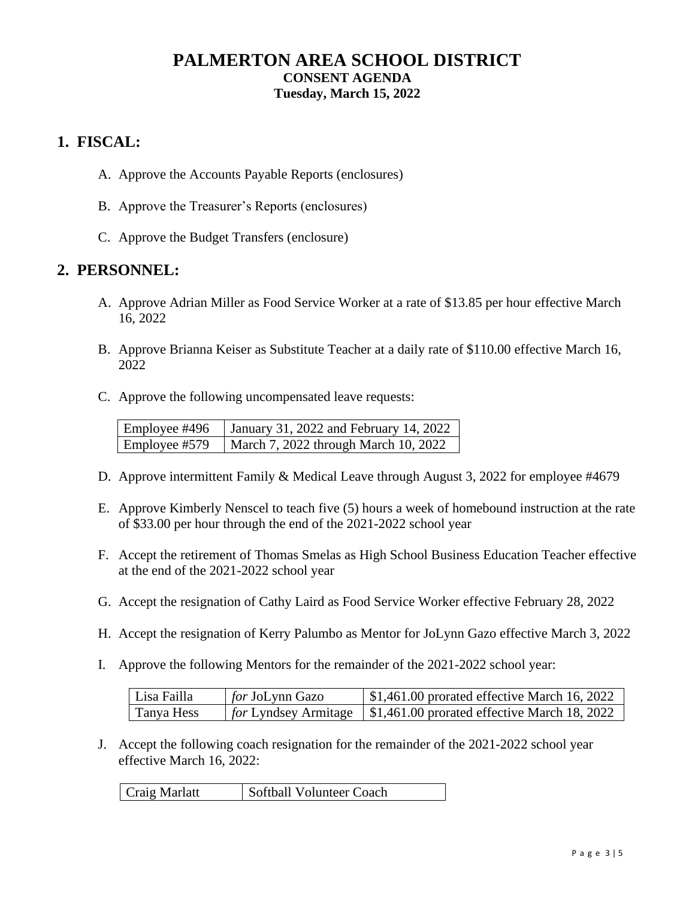## **PALMERTON AREA SCHOOL DISTRICT CONSENT AGENDA Tuesday, March 15, 2022**

## **1. FISCAL:**

- A. Approve the Accounts Payable Reports (enclosures)
- B. Approve the Treasurer's Reports (enclosures)
- C. Approve the Budget Transfers (enclosure)

### **2. PERSONNEL:**

- A. Approve Adrian Miller as Food Service Worker at a rate of \$13.85 per hour effective March 16, 2022
- B. Approve Brianna Keiser as Substitute Teacher at a daily rate of \$110.00 effective March 16, 2022
- C. Approve the following uncompensated leave requests:

| Employee #496 | January 31, 2022 and February 14, 2022 |
|---------------|----------------------------------------|
| Employee #579 | March 7, 2022 through March 10, 2022   |

- D. Approve intermittent Family & Medical Leave through August 3, 2022 for employee #4679
- E. Approve Kimberly Nenscel to teach five (5) hours a week of homebound instruction at the rate of \$33.00 per hour through the end of the 2021-2022 school year
- F. Accept the retirement of Thomas Smelas as High School Business Education Teacher effective at the end of the 2021-2022 school year
- G. Accept the resignation of Cathy Laird as Food Service Worker effective February 28, 2022
- H. Accept the resignation of Kerry Palumbo as Mentor for JoLynn Gazo effective March 3, 2022
- I. Approve the following Mentors for the remainder of the 2021-2022 school year:

| Lisa Failla | for JoLynn Gazo | $\mid$ \$1,461.00 prorated effective March 16, 2022                                           |
|-------------|-----------------|-----------------------------------------------------------------------------------------------|
| Tanya Hess  |                 | $\frac{1}{2}$ for Lyndsey Armitage $\frac{1}{2}$ , 1,461.00 prorated effective March 18, 2022 |

J. Accept the following coach resignation for the remainder of the 2021-2022 school year effective March 16, 2022:

| Softball Volunteer Coach<br>Craig Marlatt |
|-------------------------------------------|
|-------------------------------------------|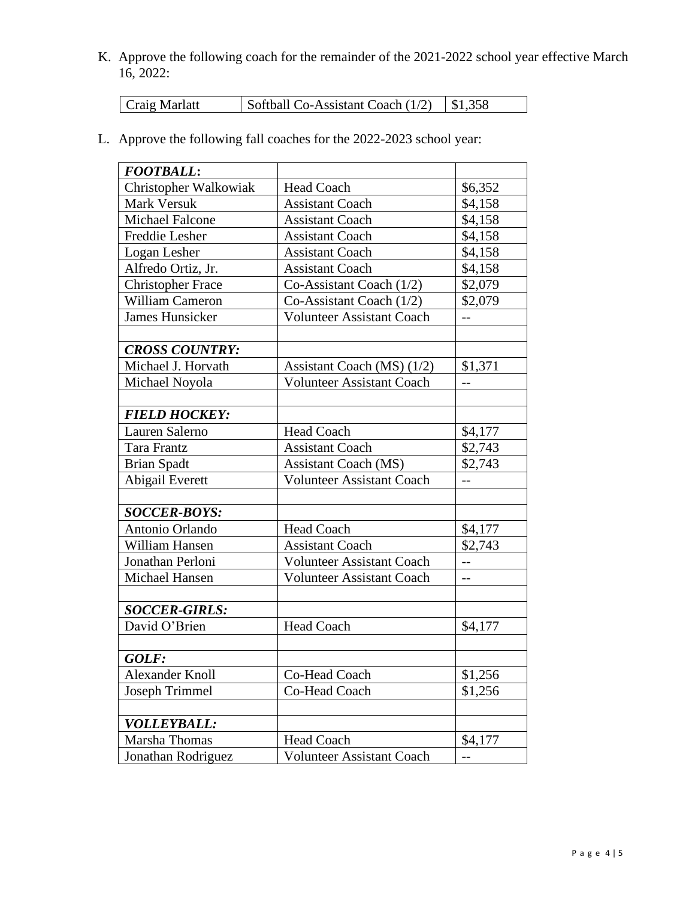K. Approve the following coach for the remainder of the 2021-2022 school year effective March 16, 2022:

| Craig Marlatt | Softball Co-Assistant Coach $(1/2)$ |  | \$1,358 |
|---------------|-------------------------------------|--|---------|
|---------------|-------------------------------------|--|---------|

L. Approve the following fall coaches for the 2022-2023 school year:

| <b>FOOTBALL:</b>         |                                  |         |
|--------------------------|----------------------------------|---------|
| Christopher Walkowiak    | <b>Head Coach</b>                | \$6,352 |
| <b>Mark Versuk</b>       | <b>Assistant Coach</b>           | \$4,158 |
| <b>Michael Falcone</b>   | <b>Assistant Coach</b>           | \$4,158 |
| Freddie Lesher           | <b>Assistant Coach</b>           | \$4,158 |
| Logan Lesher             | <b>Assistant Coach</b>           | \$4,158 |
| Alfredo Ortiz, Jr.       | <b>Assistant Coach</b>           | \$4,158 |
| <b>Christopher Frace</b> | Co-Assistant Coach $(1/2)$       | \$2,079 |
| <b>William Cameron</b>   | Co-Assistant Coach $(1/2)$       | \$2,079 |
| <b>James Hunsicker</b>   | <b>Volunteer Assistant Coach</b> | $-$     |
|                          |                                  |         |
| <b>CROSS COUNTRY:</b>    |                                  |         |
| Michael J. Horvath       | Assistant Coach (MS) $(1/2)$     | \$1,371 |
| Michael Noyola           | <b>Volunteer Assistant Coach</b> |         |
|                          |                                  |         |
| <b>FIELD HOCKEY:</b>     |                                  |         |
| Lauren Salerno           | <b>Head Coach</b>                | \$4,177 |
| Tara Frantz              | <b>Assistant Coach</b>           | \$2,743 |
| <b>Brian Spadt</b>       | <b>Assistant Coach (MS)</b>      | \$2,743 |
| Abigail Everett          | <b>Volunteer Assistant Coach</b> | $-$     |
|                          |                                  |         |
| <b>SOCCER-BOYS:</b>      |                                  |         |
| Antonio Orlando          | <b>Head Coach</b>                | \$4,177 |
| William Hansen           | <b>Assistant Coach</b>           | \$2,743 |
| Jonathan Perloni         | <b>Volunteer Assistant Coach</b> | $-$     |
| Michael Hansen           | <b>Volunteer Assistant Coach</b> | $-$     |
|                          |                                  |         |
| <b>SOCCER-GIRLS:</b>     |                                  |         |
| David O'Brien            | <b>Head Coach</b>                | \$4,177 |
|                          |                                  |         |
| GOLF:                    |                                  |         |
| <b>Alexander Knoll</b>   | Co-Head Coach                    | \$1,256 |
| Joseph Trimmel           | Co-Head Coach                    | \$1,256 |
|                          |                                  |         |
| <b>VOLLEYBALL:</b>       |                                  |         |
| Marsha Thomas            | <b>Head Coach</b>                | \$4,177 |
| Jonathan Rodriguez       | <b>Volunteer Assistant Coach</b> | $-$     |